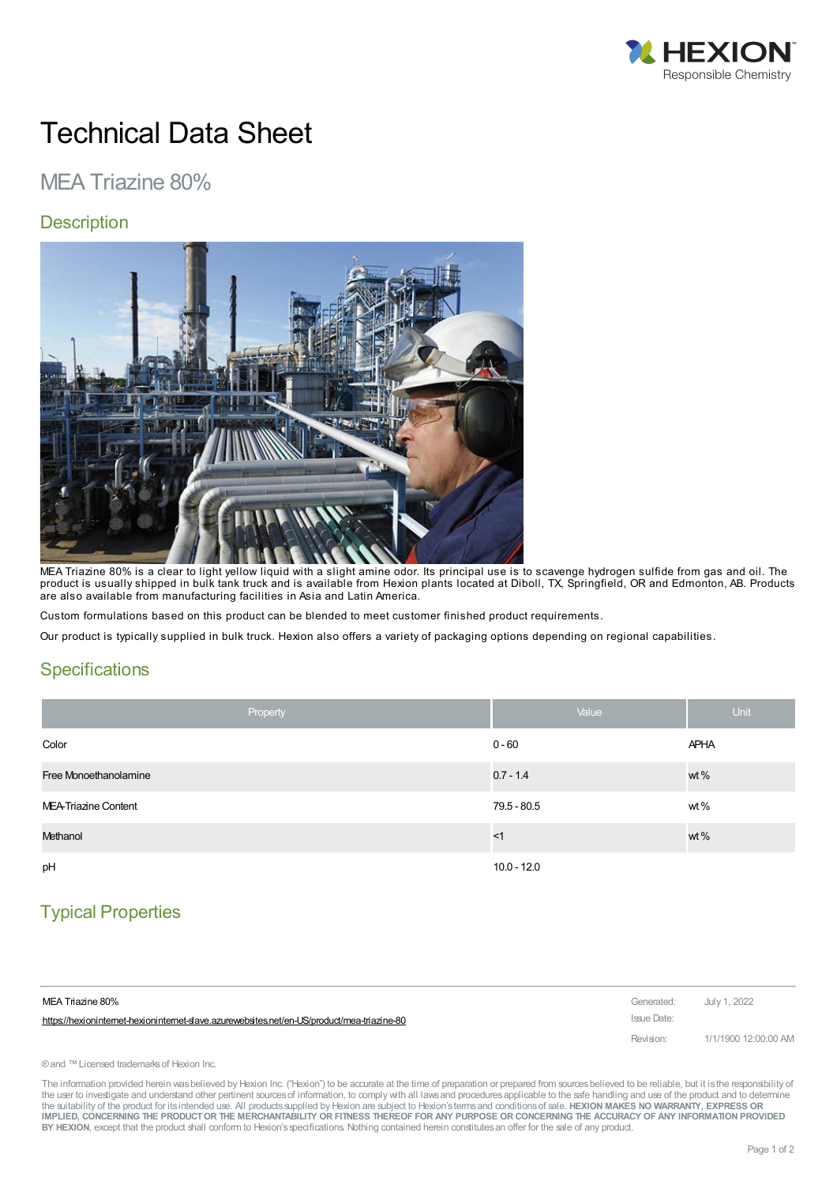

# Technical Data Sheet

## MEA Triazine 80%

#### **Description**



MEA Triazine 80% is a clear to light yellow liquid with a slight amine odor. Its principal use is to scavenge hydrogen sulfide from gas and oil. The product is usually shipped in bulk tank truck and is available from Hexion plants located at Diboll, TX, Springfield, OR and Edmonton, AB. Products are also available from manufacturing facilities in Asia and Latin America.

Custom formulations based on this product can be blended to meet customer finished product requirements.

Our product is typically supplied in bulk truck. Hexion also offers a variety of packaging options depending on regional capabilities.

#### **Specifications**

| Property              | Value         | <b>Unit</b> |
|-----------------------|---------------|-------------|
| Color                 | $0 - 60$      | <b>APHA</b> |
| Free Monoethanolamine | $0.7 - 1.4$   | wt %        |
| MEA-Triazine Content  | $79.5 - 80.5$ | wt%         |
| Methanol              | <1            | wt %        |
| pH                    | $10.0 - 12.0$ |             |

## Typical Properties

| MEA Triazine 80%                                                                          | Generated: July 1, 2022 |                      |
|-------------------------------------------------------------------------------------------|-------------------------|----------------------|
| https://hexionintemet-hexionintemet-slave.azurewebsites.net/en-US/product/mea-triazine-80 | Issue Date:             |                      |
|                                                                                           | Revision:               | 1/1/1900 12:00:00 AM |

® and ™ Licensed trademarks of Hexion Inc.

The information provided herein was believed by Hexion Inc. ("Hexion") to be accurate at the time of preparation or prepared from sources believed to be reliable, but it is the responsibility of the user to investigate and understand other pertinent sources of information, to comply with all laws and procedures applicable to the safe handling and use of the product and to determine the suitability of the product for itsintended use. All productssupplied by Hexion are subject to Hexion'stermsand conditionsof sale. **HEXION MAKES NO WARRANTY, EXPRESS OR** IMPLIED, CONCERNING THE PRODUCT OR THE MERCHANTABILITY OR FITNESS THEREOF FOR ANY PURPOSE OR CONCERNING THE ACCURACY OF ANY INFORMATION PROVIDED **BY HEXION**, except that the product shall conform to Hexion'sspecifications. Nothing contained herein constitutesan offer for the sale of any product.